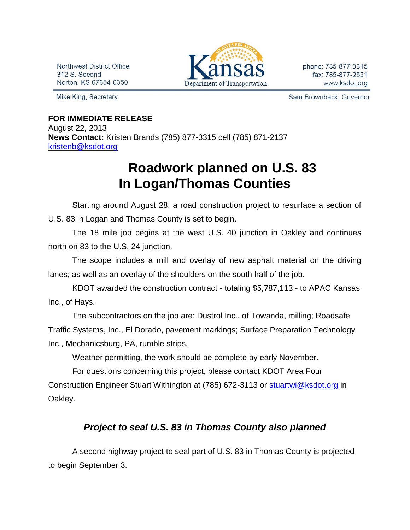Northwest District Office 312 S. Second Norton, KS 67654-0350

Mike King, Secretary



phone: 785-877-3315 fax: 785-877-2531 www.ksdot.org

Sam Brownback, Governor

## **FOR IMMEDIATE RELEASE**

August 22, 2013 **News Contact:** Kristen Brands (785) 877-3315 cell (785) 871-2137 [kristenb@ksdot.org](mailto:kristenb@ksdot.org)

## **Roadwork planned on U.S. 83 In Logan/Thomas Counties**

Starting around August 28, a road construction project to resurface a section of U.S. 83 in Logan and Thomas County is set to begin.

The 18 mile job begins at the west U.S. 40 junction in Oakley and continues north on 83 to the U.S. 24 junction.

The scope includes a mill and overlay of new asphalt material on the driving lanes; as well as an overlay of the shoulders on the south half of the job.

KDOT awarded the construction contract - totaling \$5,787,113 - to APAC Kansas Inc., of Hays.

The subcontractors on the job are: Dustrol Inc., of Towanda, milling; Roadsafe Traffic Systems, Inc., El Dorado, pavement markings; Surface Preparation Technology Inc., Mechanicsburg, PA, rumble strips.

Weather permitting, the work should be complete by early November.

For questions concerning this project, please contact KDOT Area Four

Construction Engineer Stuart Withington at (785) 672-3113 or [stuartwi@ksdot.org](mailto:stuartwi@ksdot.org) in Oakley.

## *Project to seal U.S. 83 in Thomas County also planned*

A second highway project to seal part of U.S. 83 in Thomas County is projected to begin September 3.